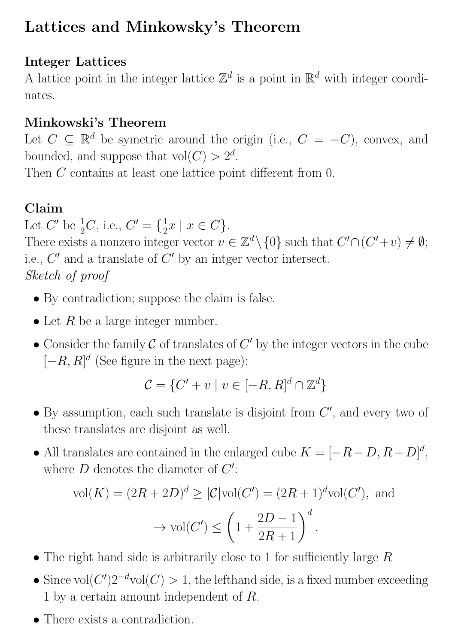## Lattices and Minkowsky's Theorem

#### Integer Lattices

A lattice point in the integer lattice  $\mathbb{Z}^d$  is a point in  $\mathbb{R}^d$  with integer coordinates.

## Minkowski's Theorem

Let  $C \subseteq \mathbb{R}^d$  be symetric around the origin (i.e.,  $C = -C$ ), convex, and bounded, and suppose that  $vol(C) > 2^d$ .

Then C contains at least one lattice point different from 0.

## Claim

Let  $C'$  be  $\frac{1}{2}C$ , i.e.,  $C' = \{\frac{1}{2}$  $\frac{1}{2}x \mid x \in C$ . There exists a nonzero integer vector  $v \in \mathbb{Z}^d \setminus \{0\}$  such that  $C' \cap (C' + v) \neq \emptyset$ ; i.e.,  $C'$  and a translate of  $C'$  by an intger vector intersect. Sketch of proof

- By contradiction; suppose the claim is false.
- Let  $R$  be a large integer number.
- Consider the family  $\mathcal C$  of translates of  $C'$  by the integer vectors in the cube  $[-R, R]^d$  (See figure in the next page):

$$
\mathcal{C} = \{C' + v \mid v \in [-R, R]^d \cap \mathbb{Z}^d\}
$$

- $\bullet$  By assumption, each such translate is disjoint from  $C'$ , and every two of these translates are disjoint as well.
- All translates are contained in the enlarged cube  $K = [-R D, R + D]^d$ , where  $D$  denotes the diameter of  $C'$ :

$$
\text{vol}(K) = (2R + 2D)^d \ge |\mathcal{C}| \text{vol}(C') = (2R + 1)^d \text{vol}(C'), \text{ and}
$$

$$
\rightarrow \text{vol}(C') \le \left(1 + \frac{2D - 1}{2R + 1}\right)^d.
$$

- The right hand side is arbitrarily close to 1 for sufficiently large  $R$
- Since  $\text{vol}(C')2^{-d}\text{vol}(C) > 1$ , the lefthand side, is a fixed number exceeding 1 by a certain amount independent of R.
- There exists a contradiction.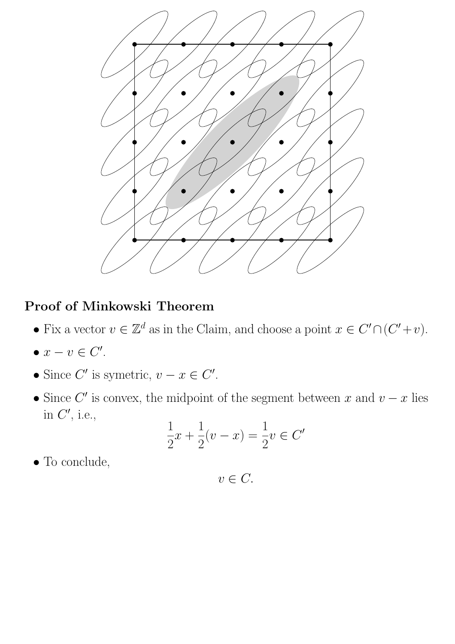

#### Proof of Minkowski Theorem

- Fix a vector  $v \in \mathbb{Z}^d$  as in the Claim, and choose a point  $x \in C' \cap (C' + v)$ .
- $x v \in C'.$
- Since  $C'$  is symetric,  $v x \in C'$ .
- Since C' is convex, the midpoint of the segment between x and  $v x$  lies in  $C'$ , i.e.,

$$
\frac{1}{2}x + \frac{1}{2}(v - x) = \frac{1}{2}v \in C'
$$

• To conclude,

 $v \in C$ .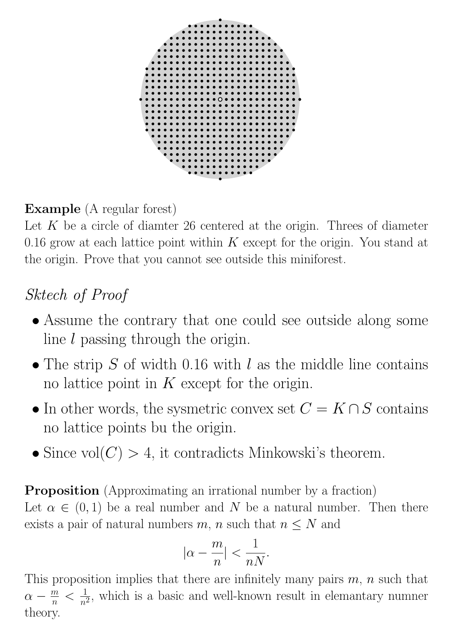

## Example (A regular forest)

Let  $K$  be a circle of diamter 26 centered at the origin. Threes of diameter 0.16 grow at each lattice point within  $K$  except for the origin. You stand at the origin. Prove that you cannot see outside this miniforest.

# Sktech of Proof

- Assume the contrary that one could see outside along some line l passing through the origin.
- The strip  $S$  of width 0.16 with l as the middle line contains no lattice point in  $K$  except for the origin.
- In other words, the sysmetric convex set  $C = K \cap S$  contains no lattice points bu the origin.
- Since  $vol(C) > 4$ , it contradicts Minkowski's theorem.

**Proposition** (Approximating an irrational number by a fraction) Let  $\alpha \in (0,1)$  be a real number and N be a natural number. Then there exists a pair of natural numbers m, n such that  $n \leq N$  and

$$
|\alpha - \frac{m}{n}| < \frac{1}{nN}.
$$

This proposition implies that there are infinitely many pairs  $m$ ,  $n$  such that  $\alpha - \frac{m}{n}$  $\frac{m}{n} < \frac{1}{n^2}$  $\frac{1}{n^2}$ , which is a basic and well-known result in elemantary numner theory.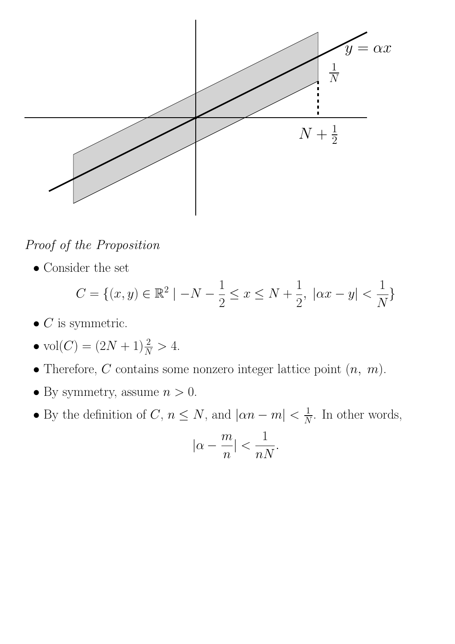

Proof of the Proposition

• Consider the set

$$
C = \{(x, y) \in \mathbb{R}^2 \mid -N - \frac{1}{2} \le x \le N + \frac{1}{2}, \ |ax - y| < \frac{1}{N} \}
$$

- $\bullet$   $C$  is symmetric.
- $vol(C) = (2N + 1)\frac{2}{N} > 4.$
- Therefore,  $C$  contains some nonzero integer lattice point  $(n, m)$ .
- By symmetry, assume  $n > 0$ .
- By the definition of C,  $n \leq N$ , and  $|\alpha n m| < \frac{1}{\Lambda}$  $\frac{1}{N}$ . In other words,

$$
|\alpha - \frac{m}{n}| < \frac{1}{nN}.
$$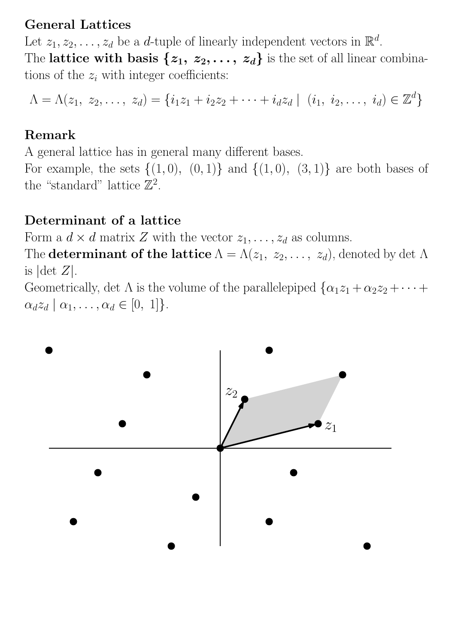#### General Lattices

Let  $z_1, z_2, \ldots, z_d$  be a d-tuple of linearly independent vectors in  $\mathbb{R}^d$ . The lattice with basis  $\{z_1, z_2, \ldots, z_d\}$  is the set of all linear combinations of the  $z_i$  with integer coefficients:

$$
\Lambda = \Lambda(z_1, z_2, \ldots, z_d) = \{i_1z_1 + i_2z_2 + \cdots + i_dz_d \mid (i_1, i_2, \ldots, i_d) \in \mathbb{Z}^d\}
$$

#### Remark

A general lattice has in general many different bases. For example, the sets  $\{(1,0), (0,1)\}\$  and  $\{(1,0), (3,1)\}\$  are both bases of the "standard" lattice  $\mathbb{Z}^2$ .

#### Determinant of a lattice

Form a  $d \times d$  matrix Z with the vector  $z_1, \ldots, z_d$  as columns.

The **determinant of the lattice**  $\Lambda = \Lambda(z_1, z_2, \ldots, z_d)$ , denoted by det  $\Lambda$ is  $|\text{det } Z|.$ 

Geometrically, det  $\Lambda$  is the volume of the parallelepiped  $\{\alpha_1 z_1 + \alpha_2 z_2 + \cdots + \alpha_n z_n\}$  $\alpha_d z_d \mid \alpha_1, \ldots, \alpha_d \in [0, 1]$ .

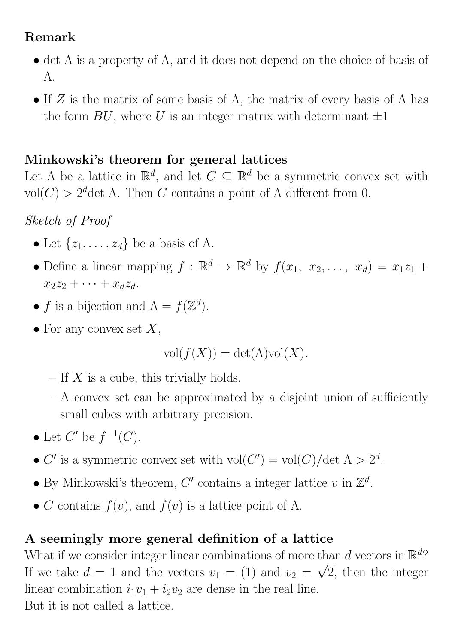## Remark

- det  $\Lambda$  is a property of  $\Lambda$ , and it does not depend on the choice of basis of Λ.
- If Z is the matrix of some basis of  $\Lambda$ , the matrix of every basis of  $\Lambda$  has the form  $BU$ , where U is an integer matrix with determinant  $\pm 1$

## Minkowski's theorem for general lattices

Let  $\Lambda$  be a lattice in  $\mathbb{R}^d$ , and let  $C \subseteq \mathbb{R}^d$  be a symmetric convex set with  $vol(C) > 2<sup>d</sup>$ det A. Then C contains a point of A different from 0.

Sketch of Proof

- Let  $\{z_1, \ldots, z_d\}$  be a basis of  $\Lambda$ .
- Define a linear mapping  $f : \mathbb{R}^d \to \mathbb{R}^d$  by  $f(x_1, x_2, \ldots, x_d) = x_1 z_1 +$  $x_2z_2 + \cdots + x_dz_d$ .
- f is a bijection and  $\Lambda = f(\mathbb{Z}^d)$ .
- For any convex set  $X$ ,

$$
\text{vol}(f(X)) = \det(\Lambda)\text{vol}(X).
$$

- $-$  If X is a cube, this trivially holds.
- $A$  convex set can be approximated by a disjoint union of sufficiently small cubes with arbitrary precision.
- Let  $C'$  be  $f^{-1}(C)$ .
- C' is a symmetric convex set with  $vol(C') = vol(C)/det \ \Lambda > 2^d$ .
- By Minkowski's theorem, C' contains a integer lattice v in  $\mathbb{Z}^d$ .
- C contains  $f(v)$ , and  $f(v)$  is a lattice point of  $\Lambda$ .

## A seemingly more general definition of a lattice

What if we consider integer linear combinations of more than d vectors in  $\mathbb{R}^d$ ? If we take  $d = 1$  and the vectors  $v_1 = (1)$  and  $v_2 = \sqrt{2}$ , then the integer linear combination  $i_1v_1 + i_2v_2$  are dense in the real line. But it is not called a lattice.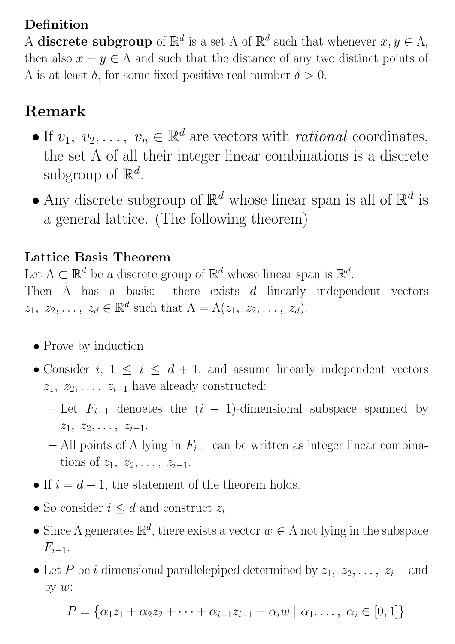## Definition

A discrete subgroup of  $\mathbb{R}^d$  is a set  $\Lambda$  of  $\mathbb{R}^d$  such that whenever  $x, y \in \Lambda$ , then also  $x - y \in \Lambda$  and such that the distance of any two distinct points of  $Λ$  is at least δ, for some fixed positive real number  $δ > 0$ .

# Remark

- If  $v_1, v_2, \ldots, v_n \in \mathbb{R}^d$  are vectors with *rational* coordinates, the set  $\Lambda$  of all their integer linear combinations is a discrete subgroup of  $\mathbb{R}^d$ .
- $\bullet$  Any discrete subgroup of  $\mathbb{R}^d$  whose linear span is all of  $\mathbb{R}^d$  is a general lattice. (The following theorem)

#### Lattice Basis Theorem

Let  $\Lambda \subset \mathbb{R}^d$  be a discrete group of  $\mathbb{R}^d$  whose linear span is  $\mathbb{R}^d$ . Then  $\Lambda$  has a basis: there exists  $d$  linearly independent vectors  $z_1, z_2, \ldots, z_d \in \mathbb{R}^d$  such that  $\Lambda = \Lambda(z_1, z_2, \ldots, z_d)$ .

- Prove by induction
- Consider  $i, 1 \leq i \leq d+1$ , and assume linearly independent vectors  $z_1, z_2, \ldots, z_{i-1}$  have already constructed:
	- Let  $F_{i-1}$  denoetes the  $(i 1)$ -dimensional subspace spanned by  $z_1, z_2, \ldots, z_{i-1}.$
	- All points of  $\Lambda$  lying in  $F_{i-1}$  can be written as integer linear combinations of  $z_1, z_2, \ldots, z_{i-1}$ .
- If  $i = d + 1$ , the statement of the theorem holds.
- So consider  $i \leq d$  and construct  $z_i$
- Since  $\Lambda$  generates  $\mathbb{R}^d$ , there exists a vector  $w \in \Lambda$  not lying in the subspace  $F_{i-1}$ .
- Let P be *i*-dimensional parallelepiped determined by  $z_1, z_2, \ldots, z_{i-1}$  and by  $w$ :

$$
P = \{ \alpha_1 z_1 + \alpha_2 z_2 + \dots + \alpha_{i-1} z_{i-1} + \alpha_i w \mid \alpha_1, \dots, \alpha_i \in [0, 1] \}
$$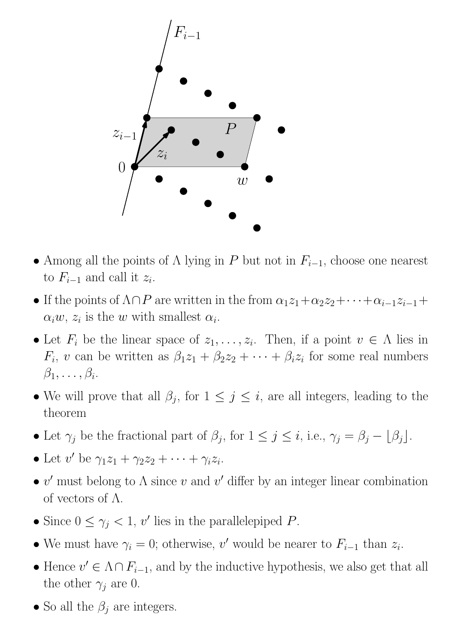

- Among all the points of  $\Lambda$  lying in P but not in  $F_{i-1}$ , choose one nearest to  $F_{i-1}$  and call it  $z_i$ .
- If the points of  $\Lambda \cap P$  are written in the from  $\alpha_1 z_1 + \alpha_2 z_2 + \cdots + \alpha_{i-1} z_{i-1}$ +  $\alpha_i w$ ,  $z_i$  is the w with smallest  $\alpha_i$ .
- Let  $F_i$  be the linear space of  $z_1, \ldots, z_i$ . Then, if a point  $v \in \Lambda$  lies in  $F_i$ , v can be written as  $\beta_1 z_1 + \beta_2 z_2 + \cdots + \beta_i z_i$  for some real numbers  $\beta_1,\ldots,\beta_i.$
- We will prove that all  $\beta_j$ , for  $1 \leq j \leq i$ , are all integers, leading to the theorem
- Let  $\gamma_j$  be the fractional part of  $\beta_j$ , for  $1 \leq j \leq i$ , i.e.,  $\gamma_j = \beta_j \lfloor \beta_j \rfloor$ .
- Let  $v'$  be  $\gamma_1 z_1 + \gamma_2 z_2 + \cdots + \gamma_i z_i$ .
- v' must belong to  $\Lambda$  since v and v' differ by an integer linear combination of vectors of  $\Lambda$ .
- Since  $0 \leq \gamma_j < 1$ , v' lies in the parallelepiped P.
- We must have  $\gamma_i = 0$ ; otherwise, v' would be nearer to  $F_{i-1}$  than  $z_i$ .
- Hence  $v' \in \Lambda \cap F_{i-1}$ , and by the inductive hypothesis, we also get that all the other  $\gamma_j$  are 0.
- So all the  $\beta_j$  are integers.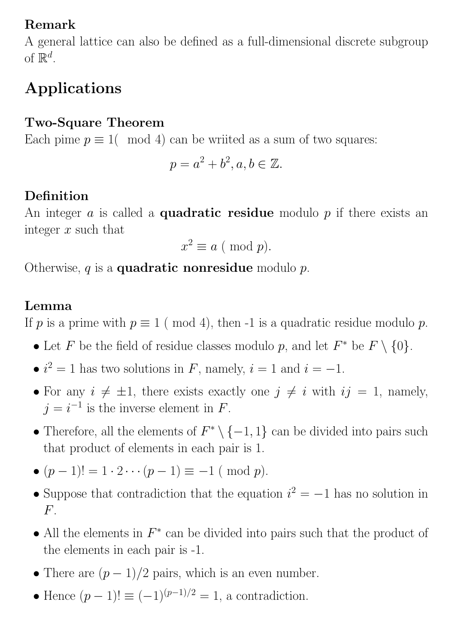## Remark

A general lattice can also be defined as a full-dimensional discrete subgroup of  $\mathbb{R}^d$ .

# Applications

#### Two-Square Theorem

Each pime  $p \equiv 1 \pmod{4}$  can be writted as a sum of two squares:

$$
p = a^2 + b^2, a, b \in \mathbb{Z}.
$$

## Definition

An integer  $a$  is called a **quadratic residue** modulo  $p$  if there exists an integer  $x$  such that

$$
x^2 \equiv a \ (\bmod \ p).
$$

Otherwise,  $q$  is a **quadratic nonresidue** modulo  $p$ .

#### Lemma

If p is a prime with  $p \equiv 1 \pmod{4}$ , then -1 is a quadratic residue modulo p.

- Let F be the field of residue classes modulo p, and let  $F^*$  be  $F \setminus \{0\}$ .
- $i^2 = 1$  has two solutions in F, namely,  $i = 1$  and  $i = -1$ .
- For any  $i \neq \pm 1$ , there exists exactly one  $j \neq i$  with  $ij = 1$ , namely,  $j = i^{-1}$  is the inverse element in F.
- Therefore, all the elements of  $F^* \setminus \{-1,1\}$  can be divided into pairs such that product of elements in each pair is 1.
- $(p-1)! = 1 \cdot 2 \cdots (p-1) \equiv -1 \pmod{p}$ .
- Suppose that contradiction that the equation  $i^2 = -1$  has no solution in  $F_{\perp}$
- All the elements in  $F^*$  can be divided into pairs such that the product of the elements in each pair is -1.
- There are  $(p-1)/2$  pairs, which is an even number.
- Hence  $(p-1)! \equiv (-1)^{(p-1)/2} = 1$ , a contradiction.